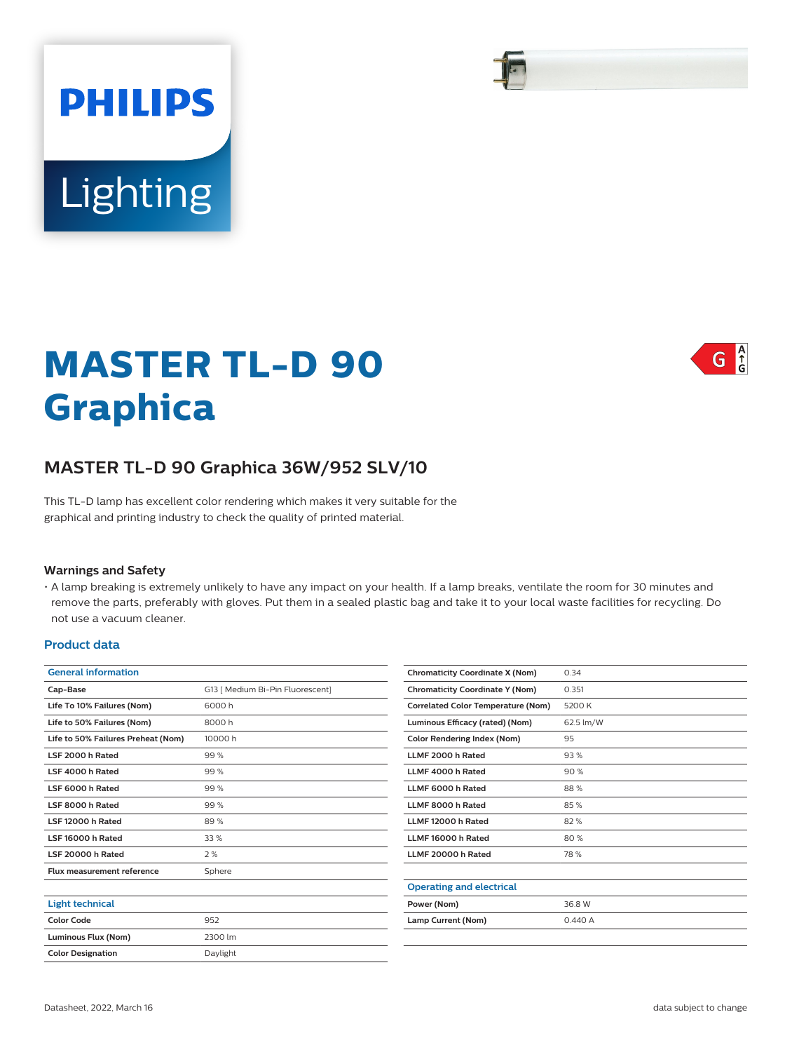# **PHILIPS** Lighting

# **MASTER TL-D 90 Graphica**

# **MASTER TL-D 90 Graphica 36W/952 SLV/10**

This TL-D lamp has excellent color rendering which makes it very suitable for the graphical and printing industry to check the quality of printed material.

#### **Warnings and Safety**

• A lamp breaking is extremely unlikely to have any impact on your health. If a lamp breaks, ventilate the room for 30 minutes and remove the parts, preferably with gloves. Put them in a sealed plastic bag and take it to your local waste facilities for recycling. Do not use a vacuum cleaner.

#### **Product data**

| <b>General information</b>         |                                  |  |  |  |  |
|------------------------------------|----------------------------------|--|--|--|--|
| Cap-Base                           | G13   Medium Bi-Pin Fluorescent] |  |  |  |  |
| Life To 10% Failures (Nom)         | 6000h                            |  |  |  |  |
| Life to 50% Failures (Nom)         | 8000h                            |  |  |  |  |
| Life to 50% Failures Preheat (Nom) | 10000 h                          |  |  |  |  |
| LSF 2000 h Rated                   | 99%                              |  |  |  |  |
| LSF 4000 h Rated                   | 99%                              |  |  |  |  |
| LSF 6000 h Rated                   | 99%                              |  |  |  |  |
| LSF 8000 h Rated                   | 99%                              |  |  |  |  |
| LSF 12000 h Rated                  | 89%                              |  |  |  |  |
| LSF 16000 h Rated                  | 33%                              |  |  |  |  |
| LSF 20000 h Rated                  | 2%                               |  |  |  |  |
| Flux measurement reference         | Sphere                           |  |  |  |  |
|                                    |                                  |  |  |  |  |
| <b>Light technical</b>             |                                  |  |  |  |  |
| <b>Color Code</b>                  | 952                              |  |  |  |  |
| Luminous Flux (Nom)                | 2300 lm                          |  |  |  |  |
| <b>Color Designation</b>           | Daylight                         |  |  |  |  |

| <b>Chromaticity Coordinate X (Nom)</b>    | 0.34      |  |  |
|-------------------------------------------|-----------|--|--|
| <b>Chromaticity Coordinate Y (Nom)</b>    | 0.351     |  |  |
| <b>Correlated Color Temperature (Nom)</b> | 5200 K    |  |  |
| Luminous Efficacy (rated) (Nom)           | 62.5 lm/W |  |  |
| <b>Color Rendering Index (Nom)</b>        | 95        |  |  |
| LLMF 2000 h Rated                         | 93%       |  |  |
| LLMF 4000 h Rated                         | 90%       |  |  |
| LLMF 6000 h Rated                         | 88%       |  |  |
| LLMF 8000 h Rated                         | 85%       |  |  |
| LLMF 12000 h Rated                        | 82%       |  |  |
| LLMF 16000 h Rated                        | 80%       |  |  |
| LLMF 20000 h Rated                        | 78%       |  |  |
|                                           |           |  |  |
| <b>Operating and electrical</b>           |           |  |  |
| Power (Nom)                               | 36.8 W    |  |  |
| Lamp Current (Nom)                        | 0.440A    |  |  |
|                                           |           |  |  |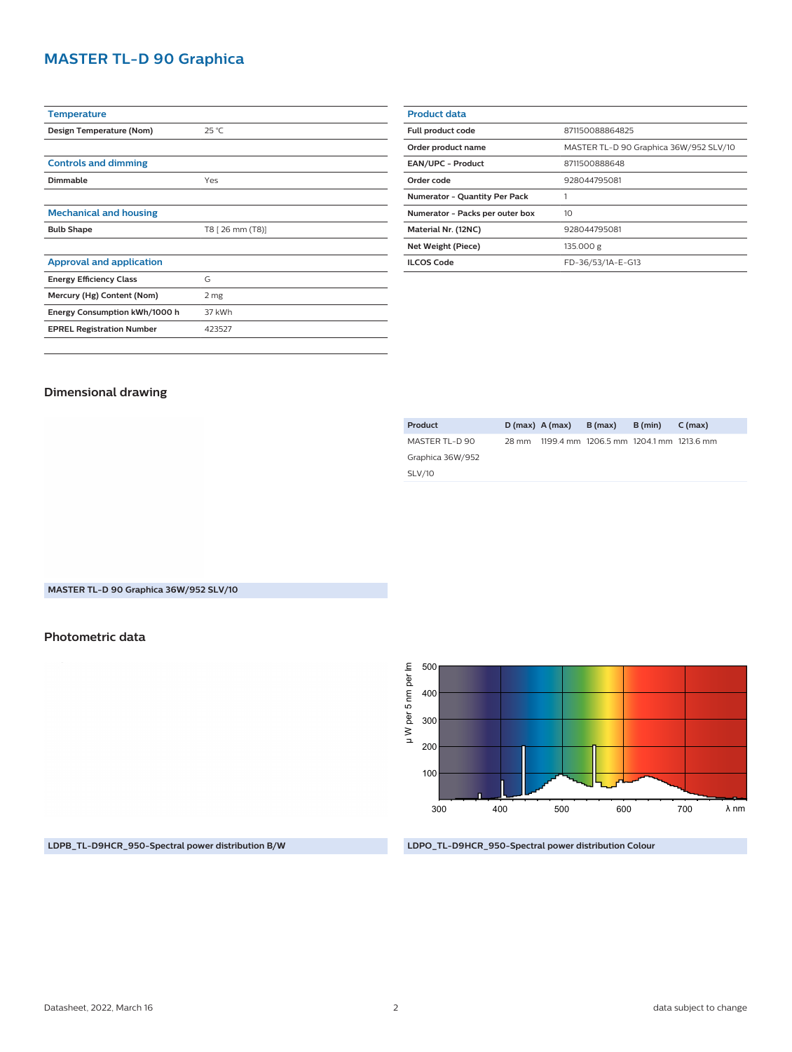# **MASTER TL-D 90 Graphica**

| <b>Temperature</b>               |                  |  |  |  |  |  |
|----------------------------------|------------------|--|--|--|--|--|
| Design Temperature (Nom)         | $25^{\circ}$ C   |  |  |  |  |  |
|                                  |                  |  |  |  |  |  |
| <b>Controls and dimming</b>      |                  |  |  |  |  |  |
| Dimmable                         | Yes              |  |  |  |  |  |
|                                  |                  |  |  |  |  |  |
| <b>Mechanical and housing</b>    |                  |  |  |  |  |  |
| <b>Bulb Shape</b>                | T8 [ 26 mm (T8)] |  |  |  |  |  |
|                                  |                  |  |  |  |  |  |
|                                  |                  |  |  |  |  |  |
| <b>Approval and application</b>  |                  |  |  |  |  |  |
| <b>Energy Efficiency Class</b>   | G                |  |  |  |  |  |
| Mercury (Hg) Content (Nom)       | 2 mg             |  |  |  |  |  |
| Energy Consumption kWh/1000 h    | 37 kWh           |  |  |  |  |  |
| <b>EPREL Registration Number</b> | 423527           |  |  |  |  |  |

| <b>Product data</b>                  |                                        |  |  |  |
|--------------------------------------|----------------------------------------|--|--|--|
| Full product code                    | 871150088864825                        |  |  |  |
| Order product name                   | MASTER TL-D 90 Graphica 36W/952 SLV/10 |  |  |  |
| <b>EAN/UPC - Product</b>             | 8711500888648                          |  |  |  |
| Order code                           | 928044795081                           |  |  |  |
| <b>Numerator - Quantity Per Pack</b> |                                        |  |  |  |
| Numerator - Packs per outer box      | 10                                     |  |  |  |
| Material Nr. (12NC)                  | 928044795081                           |  |  |  |
| Net Weight (Piece)                   | 135.000 g                              |  |  |  |
| <b>ILCOS Code</b>                    | FD-36/53/1A-E-G13                      |  |  |  |
|                                      |                                        |  |  |  |

## **Dimensional drawing**

| Product          | $D(max)$ A (max) | B (max)                                 | B (min) | $C$ (max) |
|------------------|------------------|-----------------------------------------|---------|-----------|
| MASTER TL-D 90   | 28 mm            | 1199.4 mm 1206.5 mm 1204.1 mm 1213.6 mm |         |           |
| Graphica 36W/952 |                  |                                         |         |           |
| <b>SLV/10</b>    |                  |                                         |         |           |
|                  |                  |                                         |         |           |

## **MASTER TL-D 90 Graphica 36W/952 SLV/10**

## **Photometric data**

µ W per 5 nm per Im 500 µ W per 5 nm per lm 400 300 200 100 700 λ nm 300 400 500 600

**LDPB\_TL-D9HCR\_950-Spectral power distribution B/W**

**LDPO\_TL-D9HCR\_950-Spectral power distribution Colour**